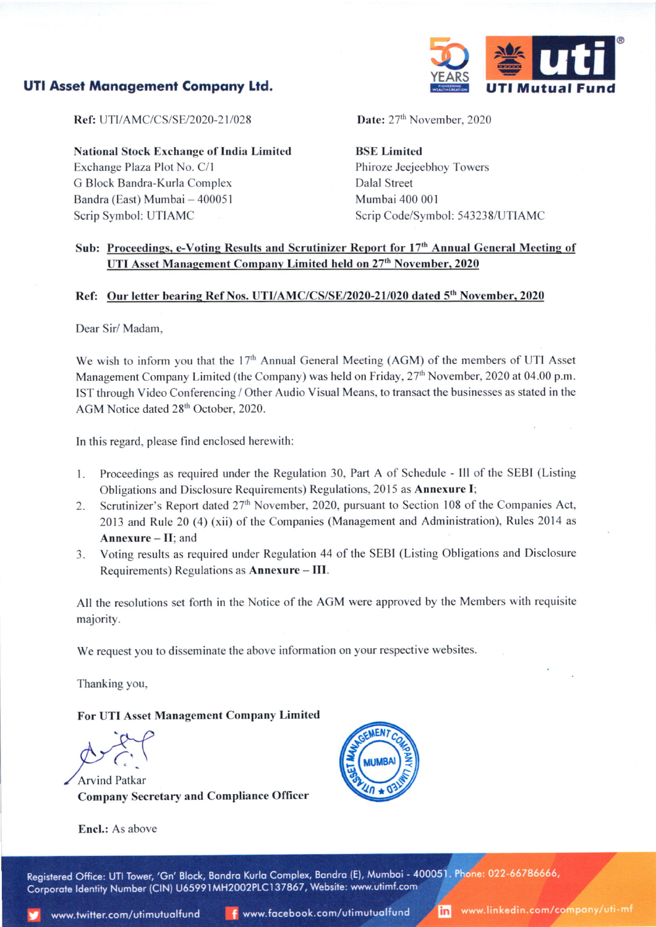# UTI Asset Monogemeni Compony Ltd.



Ref: UTI/AMC/CS/SE/2020-21/028

National Stock Exchange of India Limited Exchange Plaza Plot No. C/l G Block Bandra-Kurla Complcx Bandra (East) Mumbai - 400051 Scrip Symbol: UTIAMC

Date: 27<sup>th</sup> November, 2020

BSE Limited Phiroze Jeejeebhoy Towers Dalal Street Mumbai 400 001 Scrip Code/Symbol: 543238/UTIAMC

# Sub: Proceedings, e-Voting Results and Scrutinizer Report for 17<sup>th</sup> Annual General Meeting of UTI Asset Management Company Limited held on 27<sup>th</sup> November, 2020

### Ref: Our letter bearing Ref Nos. UTI/AMC/CS/SE/2020-21/020 dated 5<sup>th</sup> November, 2020

Dear Sir/ Madam,

We wish to inform you that the 17<sup>th</sup> Annual General Meeting (AGM) of the members of UTI Asset Management Company Limited (the Company) was held on Friday, 27<sup>th</sup> November, 2020 at 04.00 p.m. IST through Video Conferencing / Other Audio Visual Means, to transact the businesses as stated in the AGM Notice dated 28'h October, 2020.

ln this regard, please find enclosed herewith:

- l. Proceedings as required under the Regulation 30, Part A of Schedule Ill ofthe SEBI (Listing Obligations and Disclosure Requirements) Regulations, 2015 as **Annexure I**;
- 2. Scrutinizer's Report dated 27<sup>th</sup> November, 2020, pursuant to Section 108 of the Companies Act, 2013 and Rule 20 (4) (xii) of the Companies (Management and Administration), Rules 2014 as Annexure  $-$  II: and
- 3. Voting results as required under Regulation 44 of the SEBI (Listing Obligations and Disclosure Requirements) Regulations as Annexure - III.

All the resolutions set forth in the Notice of the ACM were approved by the Members with requisite majority.

We request you to disseminate the above information on your respective websites.

Thanking you,

#### For UTI Asset Management Company Limited

**Arvind Patkar** Company Secretary and Compliance Oflicer





Registered Office: UTI Tower, 'Gn' Block, Bandra Kurla Complex, Bandra (E), Mumbai - 400051. Phone: 022-66786666, Corporate Identity Number (CIN) U65991MH2002PLC137867, Website: www.utimf.com ,

www.linkedin.com/company/uti-mf